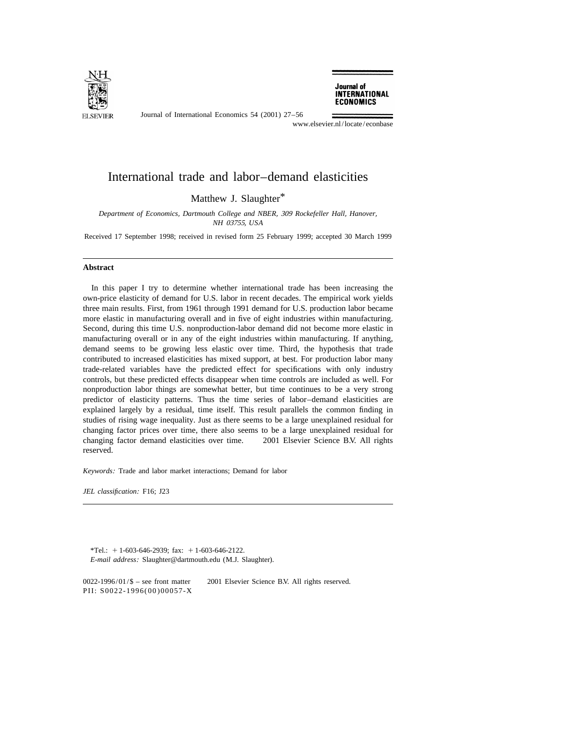

Journal of International Economics 54 (2001) 27–56

Journal of **INTERNATIONAL ECONOMICS** 

www.elsevier.nl/locate/econbase

## International trade and labor–demand elasticities

Matthew J. Slaughter\*

*Department of Economics*, *Dartmouth College and NBER*, <sup>309</sup> *Rockefeller Hall*, *Hanover*, *NH* 03755, *USA*

Received 17 September 1998; received in revised form 25 February 1999; accepted 30 March 1999

## **Abstract**

In this paper I try to determine whether international trade has been increasing the own-price elasticity of demand for U.S. labor in recent decades. The empirical work yields three main results. First, from 1961 through 1991 demand for U.S. production labor became more elastic in manufacturing overall and in five of eight industries within manufacturing. Second, during this time U.S. nonproduction-labor demand did not become more elastic in manufacturing overall or in any of the eight industries within manufacturing. If anything, demand seems to be growing less elastic over time. Third, the hypothesis that trade contributed to increased elasticities has mixed support, at best. For production labor many trade-related variables have the predicted effect for specifications with only industry controls, but these predicted effects disappear when time controls are included as well. For nonproduction labor things are somewhat better, but time continues to be a very strong predictor of elasticity patterns. Thus the time series of labor–demand elasticities are explained largely by a residual, time itself. This result parallels the common finding in studies of rising wage inequality. Just as there seems to be a large unexplained residual for changing factor prices over time, there also seems to be a large unexplained residual for changing factor demand elasticities over time.  $\circ$  2001 Elsevier Science B.V. All rights reserved.

*Keywords*: Trade and labor market interactions; Demand for labor

*JEL classification*: F16; J23

\*Tel.:  $+ 1 - 603 - 646 - 2939$ ; fax:  $+ 1 - 603 - 646 - 2122$ . *E*-*mail address*: Slaughter@dartmouth.edu (M.J. Slaughter).

 $0022-1996/01/\$$  – see front matter  $\)$  2001 Elsevier Science B.V. All rights reserved. PII: S0022-1996(00)00057-X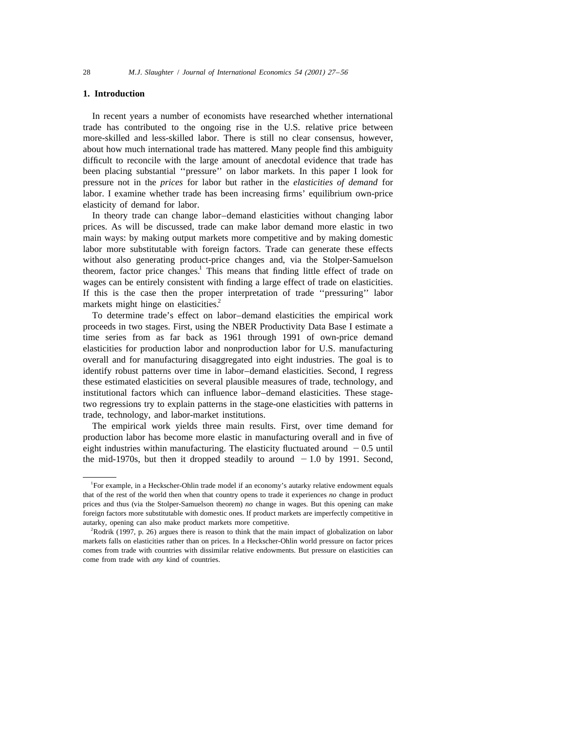## **1. Introduction**

In recent years a number of economists have researched whether international trade has contributed to the ongoing rise in the U.S. relative price between more-skilled and less-skilled labor. There is still no clear consensus, however, about how much international trade has mattered. Many people find this ambiguity difficult to reconcile with the large amount of anecdotal evidence that trade has been placing substantial ''pressure'' on labor markets. In this paper I look for pressure not in the *prices* for labor but rather in the *elasticities of demand* for labor. I examine whether trade has been increasing firms' equilibrium own-price elasticity of demand for labor.

In theory trade can change labor–demand elasticities without changing labor prices. As will be discussed, trade can make labor demand more elastic in two main ways: by making output markets more competitive and by making domestic labor more substitutable with foreign factors. Trade can generate these effects without also generating product-price changes and, via the Stolper-Samuelson theorem, factor price changes.<sup>1</sup> This means that finding little effect of trade on wages can be entirely consistent with finding a large effect of trade on elasticities. If this is the case then the proper interpretation of trade "pressuring" labor markets might hinge on elasticities.<sup>2</sup>

To determine trade's effect on labor–demand elasticities the empirical work proceeds in two stages. First, using the NBER Productivity Data Base I estimate a time series from as far back as 1961 through 1991 of own-price demand elasticities for production labor and nonproduction labor for U.S. manufacturing overall and for manufacturing disaggregated into eight industries. The goal is to identify robust patterns over time in labor–demand elasticities. Second, I regress these estimated elasticities on several plausible measures of trade, technology, and institutional factors which can influence labor–demand elasticities. These stagetwo regressions try to explain patterns in the stage-one elasticities with patterns in trade, technology, and labor-market institutions.

The empirical work yields three main results. First, over time demand for production labor has become more elastic in manufacturing overall and in five of eight industries within manufacturing. The elasticity fluctuated around  $-0.5$  until the mid-1970s, but then it dropped steadily to around  $-1.0$  by 1991. Second,

<sup>&</sup>lt;sup>1</sup>For example, in a Heckscher-Ohlin trade model if an economy's autarky relative endowment equals that of the rest of the world then when that country opens to trade it experiences *no* change in product prices and thus (via the Stolper-Samuelson theorem) *no* change in wages. But this opening can make foreign factors more substitutable with domestic ones. If product markets are imperfectly competitive in autarky, opening can also make product markets more competitive.

<sup>&</sup>lt;sup>2</sup>Rodrik (1997, p. 26) argues there is reason to think that the main impact of globalization on labor markets falls on elasticities rather than on prices. In a Heckscher-Ohlin world pressure on factor prices comes from trade with countries with dissimilar relative endowments. But pressure on elasticities can come from trade with *any* kind of countries.